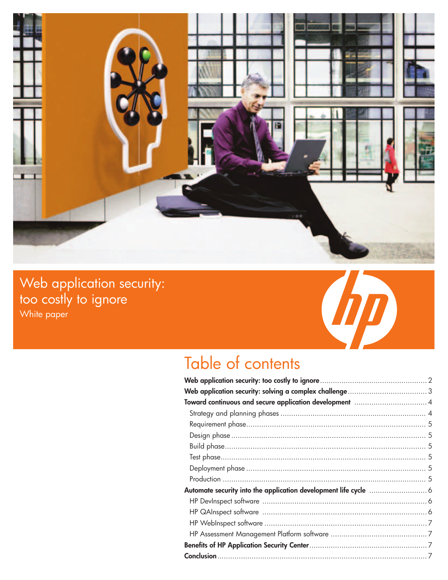

Web application security: too costly to ignore White paper



# Table of contents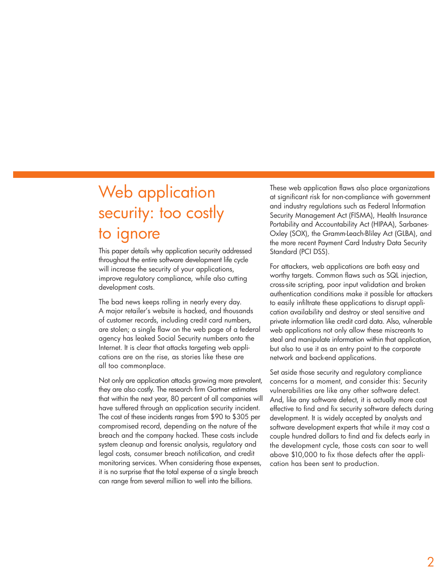# Web application security: too costly to ignore

This paper details why application security addressed throughout the entire software development life cycle will increase the security of your applications, improve regulatory compliance, while also cutting development costs.

The bad news keeps rolling in nearly every day. A major retailer's website is hacked, and thousands of customer records, including credit card numbers, are stolen; a single flaw on the web page of a federal agency has leaked Social Security numbers onto the Internet. It is clear that attacks targeting web applications are on the rise, as stories like these are all too commonplace.

Not only are application attacks growing more prevalent, they are also costly. The research firm Gartner estimates that within the next year, 80 percent of all companies will have suffered through an application security incident. The cost of these incidents ranges from \$90 to \$305 per compromised record, depending on the nature of the breach and the company hacked. These costs include system cleanup and forensic analysis, regulatory and legal costs, consumer breach notification, and credit monitoring services. When considering those expenses, it is no surprise that the total expense of a single breach can range from several million to well into the billions.

These web application flaws also place organizations at significant risk for non-compliance with government and industry regulations such as Federal Information Security Management Act (FISMA), Health Insurance Portability and Accountability Act (HIPAA), Sarbanes-Oxley (SOX), the Gramm-Leach-Bliley Act (GLBA), and the more recent Payment Card Industry Data Security Standard (PCI DSS).

For attackers, web applications are both easy and worthy targets. Common flaws such as SQL injection, cross-site scripting, poor input validation and broken authentication conditions make it possible for attackers to easily infiltrate these applications to disrupt application availability and destroy or steal sensitive and private information like credit card data. Also, vulnerable web applications not only allow these miscreants to steal and manipulate information within that application, but also to use it as an entry point to the corporate network and back-end applications.

Set aside those security and regulatory compliance concerns for a moment, and consider this: Security vulnerabilities are like any other software defect. And, like any software defect, it is actually more cost effective to find and fix security software defects during development. It is widely accepted by analysts and software development experts that while it may cost a couple hundred dollars to find and fix defects early in the development cycle, those costs can soar to well above \$10,000 to fix those defects after the application has been sent to production.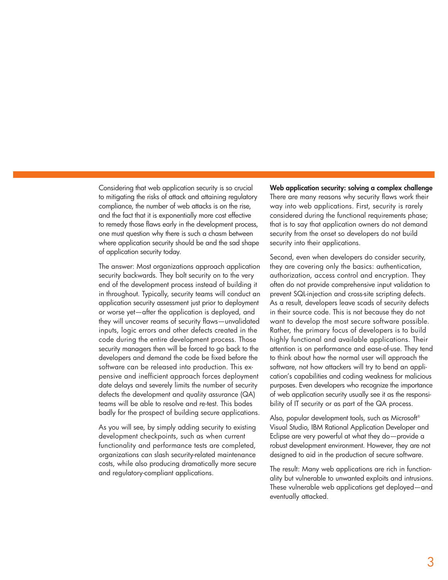Considering that web application security is so crucial to mitigating the risks of attack and attaining regulatory compliance, the number of web attacks is on the rise, and the fact that it is exponentially more cost effective to remedy those flaws early in the development process, one must question why there is such a chasm between where application security should be and the sad shape of application security today.

The answer: Most organizations approach application security backwards. They bolt security on to the very end of the development process instead of building it in throughout. Typically, security teams will conduct an application security assessment just prior to deployment or worse yet—after the application is deployed, and they will uncover reams of security flaws—unvalidated inputs, logic errors and other defects created in the code during the entire development process. Those security managers then will be forced to go back to the developers and demand the code be fixed before the software can be released into production. This expensive and inefficient approach forces deployment date delays and severely limits the number of security defects the development and quality assurance (QA) teams will be able to resolve and re-test. This bodes badly for the prospect of building secure applications.

As you will see, by simply adding security to existing development checkpoints, such as when current functionality and performance tests are completed, organizations can slash security-related maintenance costs, while also producing dramatically more secure and regulatory-compliant applications.

Web application security: solving a complex challenge There are many reasons why security flaws work their way into web applications. First, security is rarely considered during the functional requirements phase; that is to say that application owners do not demand security from the onset so developers do not build security into their applications.

Second, even when developers do consider security, they are covering only the basics: authentication, authorization, access control and encryption. They often do not provide comprehensive input validation to prevent SQL-injection and cross-site scripting defects. As a result, developers leave scads of security defects in their source code. This is not because they do not want to develop the most secure software possible. Rather, the primary focus of developers is to build highly functional and available applications. Their attention is on performance and ease-of-use. They tend to think about how the normal user will approach the software, not how attackers will try to bend an application's capabilities and coding weakness for malicious purposes. Even developers who recognize the importance of web application security usually see it as the responsibility of IT security or as part of the QA process.

Also, popular development tools, such as Microsoft® Visual Studio, IBM Rational Application Developer and Eclipse are very powerful at what they do—provide a robust development environment. However, they are not designed to aid in the production of secure software.

The result: Many web applications are rich in functionality but vulnerable to unwanted exploits and intrusions. These vulnerable web applications get deployed—and eventually attacked.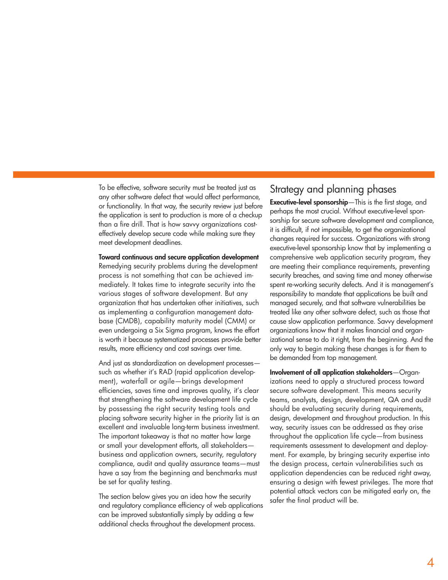To be effective, software security must be treated just as any other software defect that would affect performance, or functionality. In that way, the security review just before the application is sent to production is more of a checkup than a fire drill. That is how savvy organizations costeffectively develop secure code while making sure they meet development deadlines.

Toward continuous and secure application development Remedying security problems during the development process is not something that can be achieved immediately. It takes time to integrate security into the various stages of software development. But any organization that has undertaken other initiatives, such as implementing a configuration management database (CMDB), capability maturity model (CMM) or even undergoing a Six Sigma program, knows the effort is worth it because systematized processes provide better results, more efficiency and cost savings over time.

And just as standardization on development processes such as whether it's RAD (rapid application development), waterfall or agile—brings development efficiencies, saves time and improves quality, it's clear that strengthening the software development life cycle by possessing the right security testing tools and placing software security higher in the priority list is an excellent and invaluable long-term business investment. The important takeaway is that no matter how large or small your development efforts, all stakeholders business and application owners, security, regulatory compliance, audit and quality assurance teams—must have a say from the beginning and benchmarks must be set for quality testing.

The section below gives you an idea how the security and regulatory compliance efficiency of web applications can be improved substantially simply by adding a few additional checks throughout the development process.

#### Strategy and planning phases

Executive-level sponsorship—This is the first stage, and perhaps the most crucial. Without executive-level sponsorship for secure software development and compliance, it is difficult, if not impossible, to get the organizational changes required for success. Organizations with strong executive-level sponsorship know that by implementing a comprehensive web application security program, they are meeting their compliance requirements, preventing security breaches, and saving time and money otherwise spent re-working security defects. And it is management's responsibility to mandate that applications be built and managed securely, and that software vulnerabilities be treated like any other software defect, such as those that cause slow application performance. Savvy development organizations know that it makes financial and organizational sense to do it right, from the beginning. And the only way to begin making these changes is for them to be demanded from top management.

Involvement of all application stakeholders—Organizations need to apply a structured process toward secure software development. This means security teams, analysts, design, development, QA and audit should be evaluating security during requirements, design, development and throughout production. In this way, security issues can be addressed as they arise throughout the application life cycle—from business requirements assessment to development and deployment. For example, by bringing security expertise into the design process, certain vulnerabilities such as application dependencies can be reduced right away, ensuring a design with fewest privileges. The more that potential attack vectors can be mitigated early on, the safer the final product will be.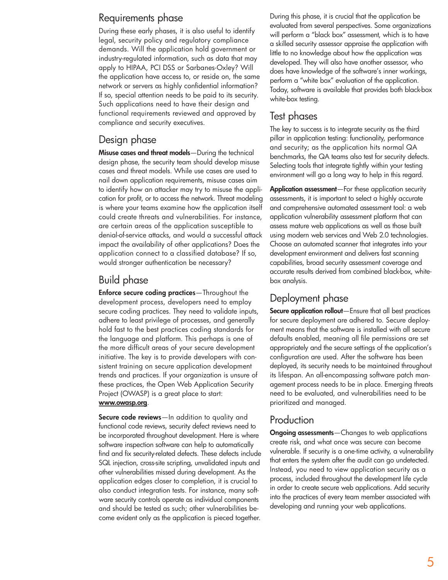#### Requirements phase

During these early phases, it is also useful to identify legal, security policy and regulatory compliance demands. Will the application hold government or industry-regulated information, such as data that may apply to HIPAA, PCI DSS or Sarbanes-Oxley? Will the application have access to, or reside on, the same network or servers as highly confidential information? If so, special attention needs to be paid to its security. Such applications need to have their design and functional requirements reviewed and approved by compliance and security executives.

#### Design phase

Misuse cases and threat models-During the technical design phase, the security team should develop misuse cases and threat models. While use cases are used to nail down application requirements, misuse cases aim to identify how an attacker may try to misuse the application for profit, or to access the network. Threat modeling is where your teams examine how the application itself could create threats and vulnerabilities. For instance, are certain areas of the application susceptible to denial-of-service attacks, and would a successful attack impact the availability of other applications? Does the application connect to a classified database? If so, would stronger authentication be necessary?

### Build phase

Enforce secure coding practices—Throughout the development process, developers need to employ secure coding practices. They need to validate inputs, adhere to least privilege of processes, and generally hold fast to the best practices coding standards for the language and platform. This perhaps is one of the more difficult areas of your secure development initiative. The key is to provide developers with consistent training on secure application development trends and practices. If your organization is unsure of these practices, the Open Web Application Security Project (OWASP) is a great place to start:

#### www.owasp.org.

Secure code reviews—In addition to quality and functional code reviews, security defect reviews need to be incorporated throughout development. Here is where software inspection software can help to automatically find and fix security-related defects. These defects include SQL injection, cross-site scripting, unvalidated inputs and other vulnerabilities missed during development. As the application edges closer to completion, it is crucial to also conduct integration tests. For instance, many software security controls operate as individual components and should be tested as such; other vulnerabilities become evident only as the application is pieced together.

During this phase, it is crucial that the application be evaluated from several perspectives. Some organizations will perform a "black box" assessment, which is to have a skilled security assessor appraise the application with little to no knowledge about how the application was developed. They will also have another assessor, who does have knowledge of the software's inner workings, perform a "white box" evaluation of the application. Today, software is available that provides both black-box white-box testing.

## Test phases

The key to success is to integrate security as the third pillar in application testing: functionality, performance and security; as the application hits normal QA benchmarks, the QA teams also test for security defects. Selecting tools that integrate tightly within your testing environment will go a long way to help in this regard.

Application assessment-For these application security assessments, it is important to select a highly accurate and comprehensive automated assessment tool: a web application vulnerability assessment platform that can assess mature web applications as well as those built using modern web services and Web 2.0 technologies. Choose an automated scanner that integrates into your development environment and delivers fast scanning capabilities, broad security assessment coverage and accurate results derived from combined black-box, whitebox analysis.

### Deployment phase

Secure application rollout-Ensure that all best practices for secure deployment are adhered to. Secure deployment means that the software is installed with all secure defaults enabled, meaning all file permissions are set appropriately and the secure settings of the application's configuration are used. After the software has been deployed, its security needs to be maintained throughout its lifespan. An all-encompassing software patch management process needs to be in place. Emerging threats need to be evaluated, and vulnerabilities need to be prioritized and managed.

#### Production

**Ongoing assessments**—Changes to web applications create risk, and what once was secure can become vulnerable. If security is a one-time activity, a vulnerability that enters the system after the audit can go undetected. Instead, you need to view application security as a process, included throughout the development life cycle in order to create secure web applications. Add security into the practices of every team member associated with developing and running your web applications.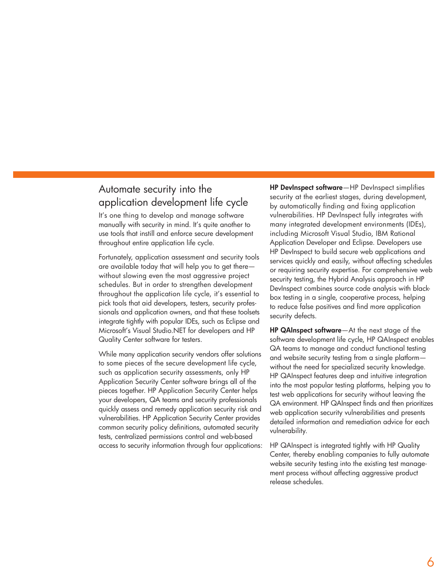## Automate security into the application development life cycle

It's one thing to develop and manage software manually with security in mind. It's quite another to use tools that instill and enforce secure development throughout entire application life cycle.

Fortunately, application assessment and security tools are available today that will help you to get there without slowing even the most aggressive project schedules. But in order to strengthen development throughout the application life cycle, it's essential to pick tools that aid developers, testers, security professionals and application owners, and that these toolsets integrate tightly with popular IDEs, such as Eclipse and Microsoft's Visual Studio.NET for developers and HP Quality Center software for testers.

While many application security vendors offer solutions to some pieces of the secure development life cycle, such as application security assessments, only HP Application Security Center software brings all of the pieces together. HP Application Security Center helps your developers, QA teams and security professionals quickly assess and remedy application security risk and vulnerabilities. HP Application Security Center provides common security policy definitions, automated security tests, centralized permissions control and web-based access to security information through four applications: HP DevInspect software—HP DevInspect simplifies security at the earliest stages, during development, by automatically finding and fixing application vulnerabilities. HP DevInspect fully integrates with many integrated development environments (IDEs), including Microsoft Visual Studio, IBM Rational Application Developer and Eclipse. Developers use HP DevInspect to build secure web applications and services quickly and easily, without affecting schedules or requiring security expertise. For comprehensive web security testing, the Hybrid Analysis approach in HP DevInspect combines source code analysis with blackbox testing in a single, cooperative process, helping to reduce false positives and find more application security defects.

HP QAInspect software—At the next stage of the software development life cycle, HP QAInspect enables QA teams to manage and conduct functional testing and website security testing from a single platform without the need for specialized security knowledge. HP QAInspect features deep and intuitive integration into the most popular testing platforms, helping you to test web applications for security without leaving the QA environment. HP QAInspect finds and then prioritizes web application security vulnerabilities and presents detailed information and remediation advice for each vulnerability.

HP QAInspect is integrated tightly with HP Quality Center, thereby enabling companies to fully automate website security testing into the existing test management process without affecting aggressive product release schedules.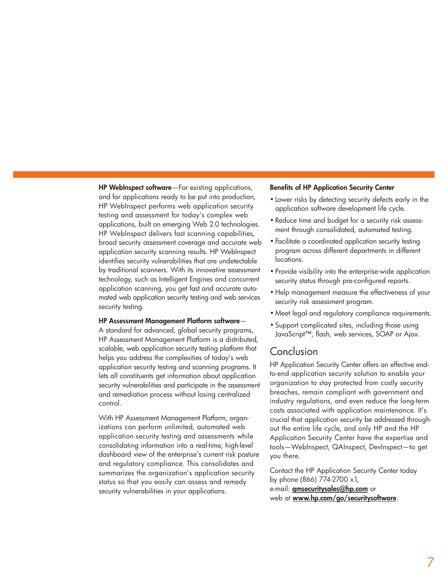HP WebInspect software—For existing applications, and for applications ready to be put into production, HP WebInspect performs web application security testing and assessment for today's complex web applications, built on emerging Web 2.0 technologies. HP WebInspect delivers fast scanning capabilities, broad security assessment coverage and accurate web application security scanning results. HP WebInspect identifies security vulnerabilities that are undetectable by traditional scanners. With its innovative assessment technology, such as Intelligent Engines and concurrent application scanning, you get fast and accurate automated web application security testing and web services security testing.

#### HP Assessment Management Platform software—

A standard for advanced, global security programs, HP Assessment Management Platform is a distributed, scalable, web application security testing platform that helps you address the complexities of today's web application security testing and scanning programs. It lets all constituents get information about application security vulnerabilities and participate in the assessment and remediation process without losing centralized control.

With HP Assessment Management Platform, organizations can perform unlimited, automated web application security testing and assessments while consolidating information into a real-time, high-level dashboard view of the enterprise's current risk posture and regulatory compliance. This consolidates and summarizes the organization's application security status so that you easily can assess and remedy security vulnerabilities in your applications.

#### Benefits of HP Application Security Center

- Lower risks by detecting security defects early in the application software development life cycle.
- Reduce time and budget for a security risk assessment through consolidated, automated testing.
- Facilitate a coordinated application security testing program across different departments in different locations.
- Provide visibility into the enterprise-wide application security status through pre-configured reports.
- Help management measure the effectiveness of your security risk assessment program.
- Meet legal and regulatory compliance requirements.
- Support complicated sites, including those using JavaScript™, flash, web services, SOAP or Ajax.

### Conclusion

HP Application Security Center offers an effective endto-end application security solution to enable your organization to stay protected from costly security breaches, remain compliant with government and industry regulations, and even reduce the long-term costs associated with application maintenance. It's crucial that application security be addressed throughout the entire life cycle, and only HP and the HP Application Security Center have the expertise and tools—WebInspect, QAInspect, DevInspect—to get you there.

Contact the HP Application Security Center today by phone (866) 774-2700 x1, e-mail: qmsecuritysales@hp.com or web at www.hp.com/go/securitysoftware.